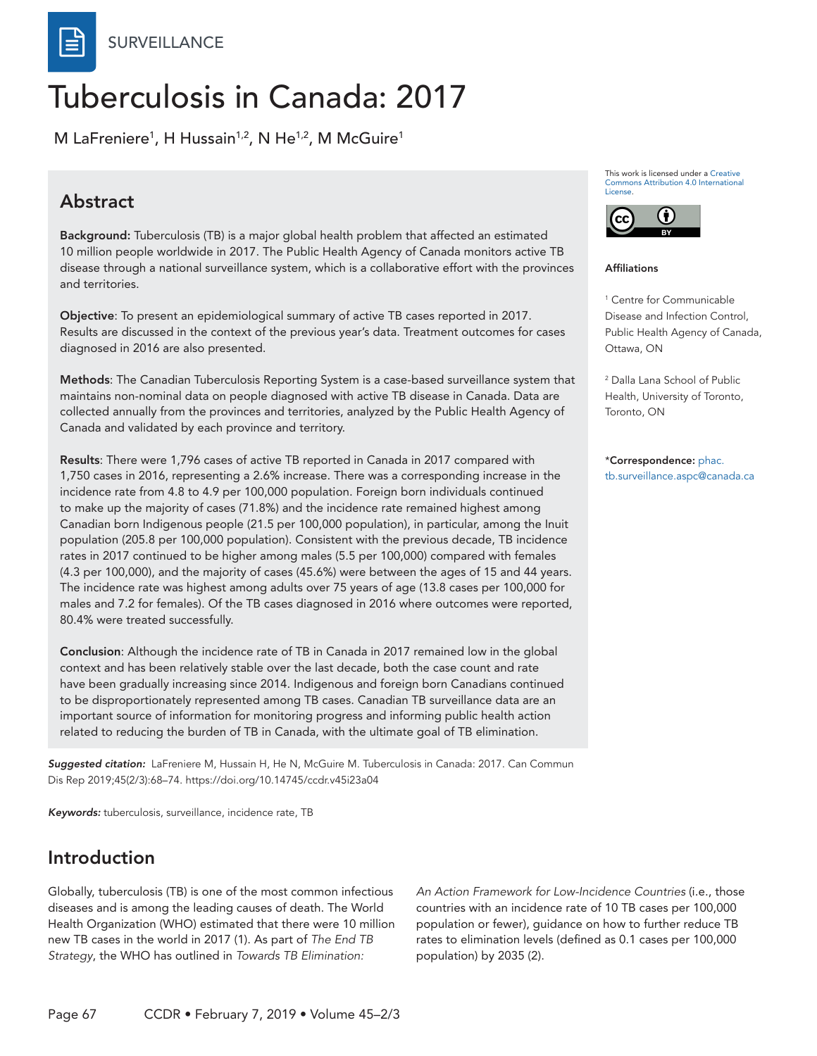**SURVEILLANCE** 

# Tuberculosis in Canada: 2017

M LaFreniere $^1$ , H Hussain $^{1,2}$ , N He $^{1,2}$ , M McGuire $^1$ 

#### **Abstract**

Background: Tuberculosis (TB) is a major global health problem that affected an estimated 10 million people worldwide in 2017. The Public Health Agency of Canada monitors active TB disease through a national surveillance system, which is a collaborative effort with the provinces and territories.

Objective: To present an epidemiological summary of active TB cases reported in 2017. Results are discussed in the context of the previous year's data. Treatment outcomes for cases diagnosed in 2016 are also presented.

Methods: The Canadian Tuberculosis Reporting System is a case-based surveillance system that maintains non-nominal data on people diagnosed with active TB disease in Canada. Data are collected annually from the provinces and territories, analyzed by the Public Health Agency of Canada and validated by each province and territory.

Results: There were 1,796 cases of active TB reported in Canada in 2017 compared with 1,750 cases in 2016, representing a 2.6% increase. There was a corresponding increase in the incidence rate from 4.8 to 4.9 per 100,000 population. Foreign born individuals continued to make up the majority of cases (71.8%) and the incidence rate remained highest among Canadian born Indigenous people (21.5 per 100,000 population), in particular, among the Inuit population (205.8 per 100,000 population). Consistent with the previous decade, TB incidence rates in 2017 continued to be higher among males (5.5 per 100,000) compared with females (4.3 per 100,000), and the majority of cases (45.6%) were between the ages of 15 and 44 years. The incidence rate was highest among adults over 75 years of age (13.8 cases per 100,000 for males and 7.2 for females). Of the TB cases diagnosed in 2016 where outcomes were reported, 80.4% were treated successfully.

Conclusion: Although the incidence rate of TB in Canada in 2017 remained low in the global context and has been relatively stable over the last decade, both the case count and rate have been gradually increasing since 2014. Indigenous and foreign born Canadians continued to be disproportionately represented among TB cases. Canadian TB surveillance data are an important source of information for monitoring progress and informing public health action related to reducing the burden of TB in Canada, with the ultimate goal of TB elimination.

*Suggested citation:* LaFreniere M, Hussain H, He N, McGuire M. Tuberculosis in Canada: 2017. Can Commun Dis Rep 2019;45(2/3):68–74. https://doi.org/10.14745/ccdr.v45i23a04

*Keywords:* tuberculosis, surveillance, incidence rate, TB

#### Introduction

Globally, tuberculosis (TB) is one of the most common infectious diseases and is among the leading causes of death. The World Health Organization (WHO) estimated that there were 10 million new TB cases in the world in 2017 (1). As part of *The End TB Strategy*, the WHO has outlined in *Towards TB Elimination:* 

*An Action Framework for Low-Incidence Countries* (i.e., those countries with an incidence rate of 10 TB cases per 100,000 population or fewer), guidance on how to further reduce TB rates to elimination levels (defined as 0.1 cases per 100,000 population) by 2035 (2).

This work is licensed under a [Creative](https://creativecommons.org/licenses/by/4.0/)  [Commons Attribution 4.0 International](https://creativecommons.org/licenses/by/4.0/)  [License](https://creativecommons.org/licenses/by/4.0/).



#### Affiliations

1 Centre for Communicable Disease and Infection Control, Public Health Agency of Canada, Ottawa, ON

2 Dalla Lana School of Public Health, University of Toronto, Toronto, ON

\*Correspondence: [phac.](mailto:phac.tb.surveillance.aspc%40canada.ca?subject=) [tb.surveillance.aspc@canada.ca](mailto:phac.tb.surveillance.aspc%40canada.ca?subject=)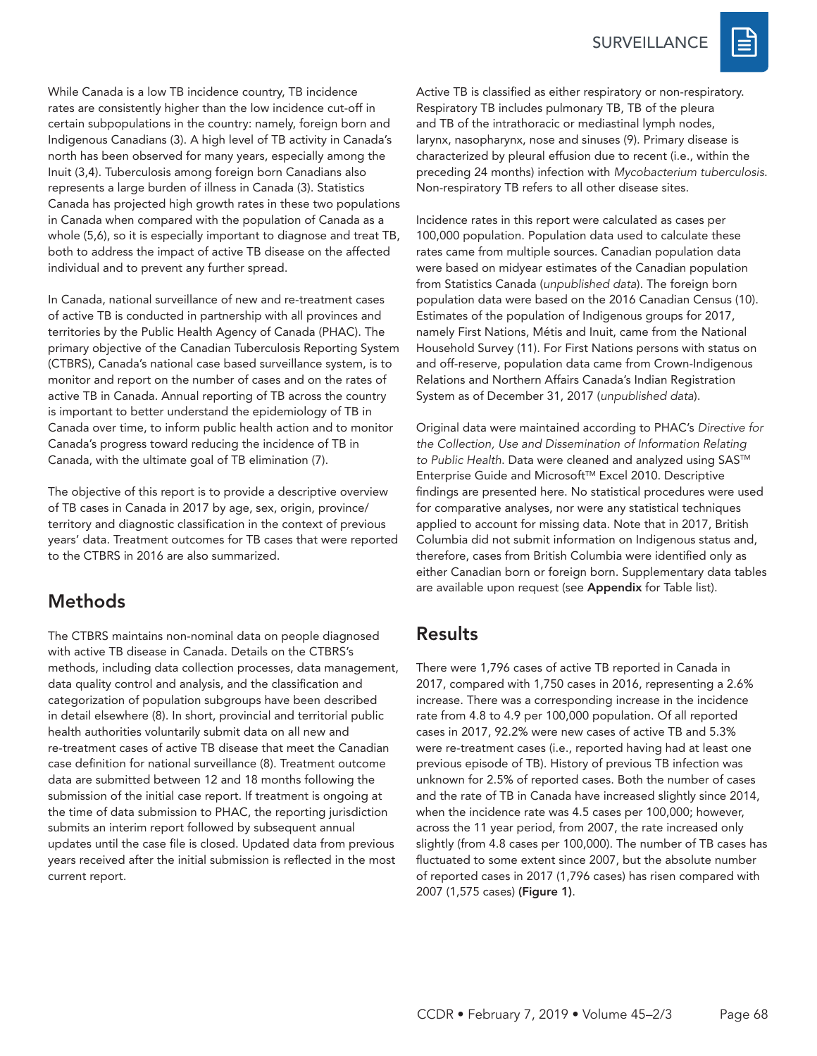

While Canada is a low TB incidence country, TB incidence rates are consistently higher than the low incidence cut-off in certain subpopulations in the country: namely, foreign born and Indigenous Canadians (3). A high level of TB activity in Canada's north has been observed for many years, especially among the Inuit (3,4). Tuberculosis among foreign born Canadians also represents a large burden of illness in Canada (3). Statistics Canada has projected high growth rates in these two populations in Canada when compared with the population of Canada as a whole (5,6), so it is especially important to diagnose and treat TB, both to address the impact of active TB disease on the affected individual and to prevent any further spread.

In Canada, national surveillance of new and re-treatment cases of active TB is conducted in partnership with all provinces and territories by the Public Health Agency of Canada (PHAC). The primary objective of the Canadian Tuberculosis Reporting System (CTBRS), Canada's national case based surveillance system, is to monitor and report on the number of cases and on the rates of active TB in Canada. Annual reporting of TB across the country is important to better understand the epidemiology of TB in Canada over time, to inform public health action and to monitor Canada's progress toward reducing the incidence of TB in Canada, with the ultimate goal of TB elimination (7).

The objective of this report is to provide a descriptive overview of TB cases in Canada in 2017 by age, sex, origin, province/ territory and diagnostic classification in the context of previous years' data. Treatment outcomes for TB cases that were reported to the CTBRS in 2016 are also summarized.

#### Methods

The CTBRS maintains non-nominal data on people diagnosed with active TB disease in Canada. Details on the CTBRS's methods, including data collection processes, data management, data quality control and analysis, and the classification and categorization of population subgroups have been described in detail elsewhere (8). In short, provincial and territorial public health authorities voluntarily submit data on all new and re-treatment cases of active TB disease that meet the Canadian case definition for national surveillance (8). Treatment outcome data are submitted between 12 and 18 months following the submission of the initial case report. If treatment is ongoing at the time of data submission to PHAC, the reporting jurisdiction submits an interim report followed by subsequent annual updates until the case file is closed. Updated data from previous years received after the initial submission is reflected in the most current report.

Active TB is classified as either respiratory or non-respiratory. Respiratory TB includes pulmonary TB, TB of the pleura and TB of the intrathoracic or mediastinal lymph nodes, larynx, nasopharynx, nose and sinuses (9). Primary disease is characterized by pleural effusion due to recent (i.e., within the preceding 24 months) infection with *Mycobacterium tuberculosis*. Non-respiratory TB refers to all other disease sites.

Incidence rates in this report were calculated as cases per 100,000 population. Population data used to calculate these rates came from multiple sources. Canadian population data were based on midyear estimates of the Canadian population from Statistics Canada (*unpublished data*). The foreign born population data were based on the 2016 Canadian Census (10). Estimates of the population of Indigenous groups for 2017, namely First Nations, Métis and Inuit, came from the National Household Survey (11). For First Nations persons with status on and off-reserve, population data came from Crown-Indigenous Relations and Northern Affairs Canada's Indian Registration System as of December 31, 2017 (*unpublished data*).

Original data were maintained according to PHAC's *Directive for the Collection, Use and Dissemination of Information Relating*  to Public Health. Data were cleaned and analyzed using SAS<sup>™</sup> Enterprise Guide and Microsoft™ Excel 2010. Descriptive findings are presented here. No statistical procedures were used for comparative analyses, nor were any statistical techniques applied to account for missing data. Note that in 2017, British Columbia did not submit information on Indigenous status and, therefore, cases from British Columbia were identified only as either Canadian born or foreign born. Supplementary data tables are available upon request (see Appendix for Table list).

#### **Results**

There were 1,796 cases of active TB reported in Canada in 2017, compared with 1,750 cases in 2016, representing a 2.6% increase. There was a corresponding increase in the incidence rate from 4.8 to 4.9 per 100,000 population. Of all reported cases in 2017, 92.2% were new cases of active TB and 5.3% were re-treatment cases (i.e., reported having had at least one previous episode of TB). History of previous TB infection was unknown for 2.5% of reported cases. Both the number of cases and the rate of TB in Canada have increased slightly since 2014, when the incidence rate was 4.5 cases per 100,000; however, across the 11 year period, from 2007, the rate increased only slightly (from 4.8 cases per 100,000). The number of TB cases has fluctuated to some extent since 2007, but the absolute number of reported cases in 2017 (1,796 cases) has risen compared with 2007 (1,575 cases) (Figure 1).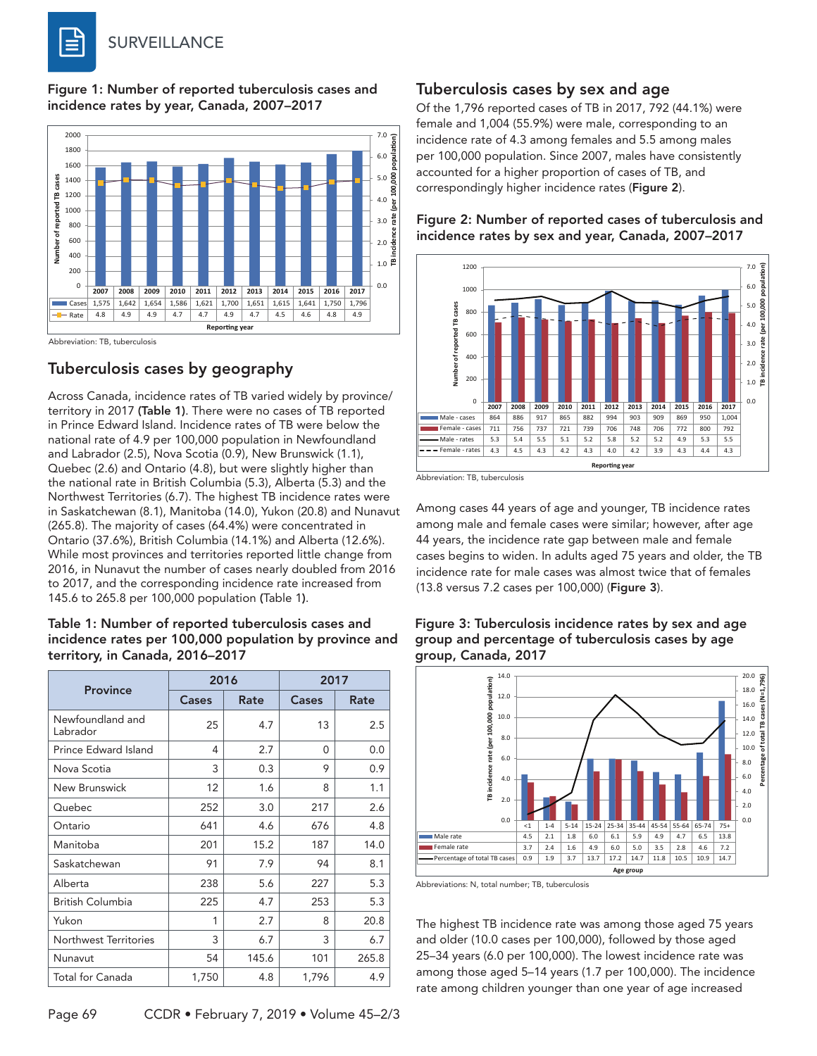Figure 1: Number of reported tuberculosis cases and incidence rates by year, Canada, 2007–2017



#### Tuberculosis cases by geography

Across Canada, incidence rates of TB varied widely by province/ territory in 2017 (Table 1). There were no cases of TB reported in Prince Edward Island. Incidence rates of TB were below the national rate of 4.9 per 100,000 population in Newfoundland and Labrador (2.5), Nova Scotia (0.9), New Brunswick (1.1), Quebec (2.6) and Ontario (4.8), but were slightly higher than the national rate in British Columbia (5.3), Alberta (5.3) and the Northwest Territories (6.7). The highest TB incidence rates were in Saskatchewan (8.1), Manitoba (14.0), Yukon (20.8) and Nunavut (265.8). The majority of cases (64.4%) were concentrated in Ontario (37.6%), British Columbia (14.1%) and Alberta (12.6%). While most provinces and territories reported little change from 2016, in Nunavut the number of cases nearly doubled from 2016 to 2017, and the corresponding incidence rate increased from 145.6 to 265.8 per 100,000 population (Table 1).

#### Table 1: Number of reported tuberculosis cases and incidence rates per 100,000 population by province and territory, in Canada, 2016–2017

|                              | 2016          |       | 2017     |       |  |  |
|------------------------------|---------------|-------|----------|-------|--|--|
| <b>Province</b>              | Cases<br>Rate |       | Cases    | Rate  |  |  |
| Newfoundland and<br>Labrador | 25            | 4.7   | 13       | 2.5   |  |  |
| Prince Edward Island         | 4             | 2.7   | $\Omega$ | 0.0   |  |  |
| Nova Scotia                  | 3             | 0.3   | 9        | 0.9   |  |  |
| New Brunswick                | 12            | 1.6   | 8        | 1.1   |  |  |
| Quebec                       | 252           | 3.0   | 217      | 2.6   |  |  |
| Ontario                      | 641           | 4.6   | 676      | 4.8   |  |  |
| Manitoba                     | 201           | 15.2  | 187      | 14.0  |  |  |
| Saskatchewan                 | 91            | 7.9   | 94       | 8.1   |  |  |
| Alberta                      | 238           | 5.6   | 227      | 5.3   |  |  |
| British Columbia             | 225           | 4.7   | 253      | 5.3   |  |  |
| Yukon                        | 1             | 2.7   | 8        | 20.8  |  |  |
| Northwest Territories        | 3             | 6.7   | 3        | 6.7   |  |  |
| Nunavut                      | 54            | 145.6 | 101      | 265.8 |  |  |
| <b>Total for Canada</b>      | 1,750         | 4.8   | 1,796    | 4.9   |  |  |

# Of the 1,796 reported cases of TB in 2017, 792 (44.1%) were

female and 1,004 (55.9%) were male, corresponding to an incidence rate of 4.3 among females and 5.5 among males per 100,000 population. Since 2007, males have consistently accounted for a higher proportion of cases of TB, and correspondingly higher incidence rates (Figure 2).

Tuberculosis cases by sex and age

Figure 2: Number of reported cases of tuberculosis and incidence rates by sex and year, Canada, 2007–2017



Abbreviation: TB, tuberculosis

Among cases 44 years of age and younger, TB incidence rates among male and female cases were similar; however, after age 44 years, the incidence rate gap between male and female cases begins to widen. In adults aged 75 years and older, the TB incidence rate for male cases was almost twice that of females (13.8 versus 7.2 cases per 100,000) (Figure 3).



Figure 3: Tuberculosis incidence rates by sex and age group and percentage of tuberculosis cases by age group, Canada, 2017

Abbreviations: N, total number; TB, tuberculosis

The highest TB incidence rate was among those aged 75 years and older (10.0 cases per 100,000), followed by those aged 25–34 years (6.0 per 100,000). The lowest incidence rate was among those aged 5–14 years (1.7 per 100,000). The incidence rate among children younger than one year of age increased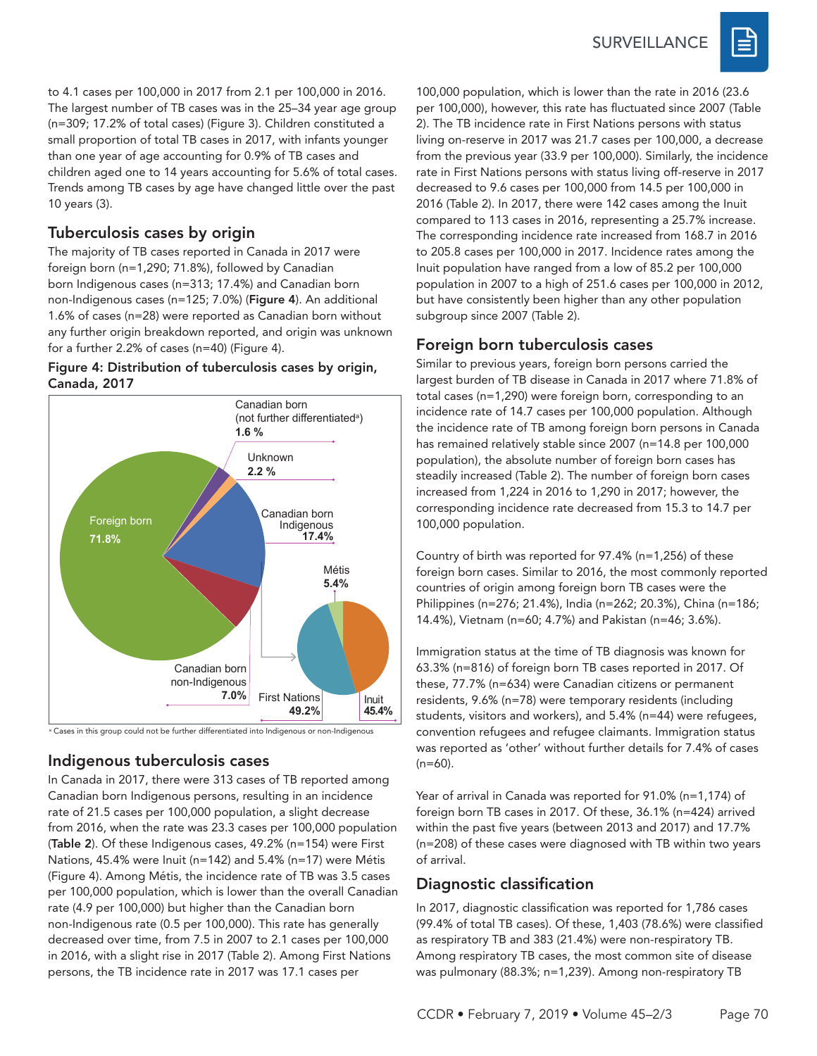

to 4.1 cases per 100,000 in 2017 from 2.1 per 100,000 in 2016. The largest number of TB cases was in the 25–34 year age group (n=309; 17.2% of total cases) (Figure 3). Children constituted a small proportion of total TB cases in 2017, with infants younger than one year of age accounting for 0.9% of TB cases and children aged one to 14 years accounting for 5.6% of total cases. Trends among TB cases by age have changed little over the past 10 years (3).

#### Tuberculosis cases by origin

The majority of TB cases reported in Canada in 2017 were foreign born (n=1,290; 71.8%), followed by Canadian born Indigenous cases (n=313; 17.4%) and Canadian born non-Indigenous cases (n=125; 7.0%) (Figure 4). An additional 1.6% of cases (n=28) were reported as Canadian born without any further origin breakdown reported, and origin was unknown for a further 2.2% of cases (n=40) (Figure 4).

#### Figure 4: Distribution of tuberculosis cases by origin, Canada, 2017



a Cases in this group could not be further differentiated into Indigenous or non-Indigenous

# Indigenous tuberculosis cases

In Canada in 2017, there were 313 cases of TB reported among Canadian born Indigenous persons, resulting in an incidence rate of 21.5 cases per 100,000 population, a slight decrease from 2016, when the rate was 23.3 cases per 100,000 population (Table 2). Of these Indigenous cases, 49.2% (n=154) were First Nations, 45.4% were Inuit (n=142) and 5.4% (n=17) were Métis (Figure 4). Among Métis, the incidence rate of TB was 3.5 cases per 100,000 population, which is lower than the overall Canadian rate (4.9 per 100,000) but higher than the Canadian born non-Indigenous rate (0.5 per 100,000). This rate has generally decreased over time, from 7.5 in 2007 to 2.1 cases per 100,000 in 2016, with a slight rise in 2017 (Table 2). Among First Nations persons, the TB incidence rate in 2017 was 17.1 cases per

100,000 population, which is lower than the rate in 2016 (23.6 per 100,000), however, this rate has fluctuated since 2007 (Table 2). The TB incidence rate in First Nations persons with status living on-reserve in 2017 was 21.7 cases per 100,000, a decrease from the previous year (33.9 per 100,000). Similarly, the incidence rate in First Nations persons with status living off-reserve in 2017 decreased to 9.6 cases per 100,000 from 14.5 per 100,000 in 2016 (Table 2). In 2017, there were 142 cases among the Inuit compared to 113 cases in 2016, representing a 25.7% increase. The corresponding incidence rate increased from 168.7 in 2016 to 205.8 cases per 100,000 in 2017. Incidence rates among the Inuit population have ranged from a low of 85.2 per 100,000 population in 2007 to a high of 251.6 cases per 100,000 in 2012, but have consistently been higher than any other population subgroup since 2007 (Table 2).

### Foreign born tuberculosis cases

Similar to previous years, foreign born persons carried the largest burden of TB disease in Canada in 2017 where 71.8% of total cases (n=1,290) were foreign born, corresponding to an incidence rate of 14.7 cases per 100,000 population. Although the incidence rate of TB among foreign born persons in Canada has remained relatively stable since 2007 (n=14.8 per 100,000 population), the absolute number of foreign born cases has steadily increased (Table 2). The number of foreign born cases increased from 1,224 in 2016 to 1,290 in 2017; however, the corresponding incidence rate decreased from 15.3 to 14.7 per 100,000 population.

Country of birth was reported for 97.4% (n=1,256) of these foreign born cases. Similar to 2016, the most commonly reported countries of origin among foreign born TB cases were the Philippines (n=276; 21.4%), India (n=262; 20.3%), China (n=186; 14.4%), Vietnam (n=60; 4.7%) and Pakistan (n=46; 3.6%).

Immigration status at the time of TB diagnosis was known for 63.3% (n=816) of foreign born TB cases reported in 2017. Of these, 77.7% (n=634) were Canadian citizens or permanent residents, 9.6% (n=78) were temporary residents (including students, visitors and workers), and 5.4% (n=44) were refugees, convention refugees and refugee claimants. Immigration status was reported as 'other' without further details for 7.4% of cases  $(n=60)$ .

Year of arrival in Canada was reported for 91.0% (n=1,174) of foreign born TB cases in 2017. Of these, 36.1% (n=424) arrived within the past five years (between 2013 and 2017) and 17.7% (n=208) of these cases were diagnosed with TB within two years of arrival.

# Diagnostic classification

In 2017, diagnostic classification was reported for 1,786 cases (99.4% of total TB cases). Of these, 1,403 (78.6%) were classified as respiratory TB and 383 (21.4%) were non-respiratory TB. Among respiratory TB cases, the most common site of disease was pulmonary (88.3%; n=1,239). Among non-respiratory TB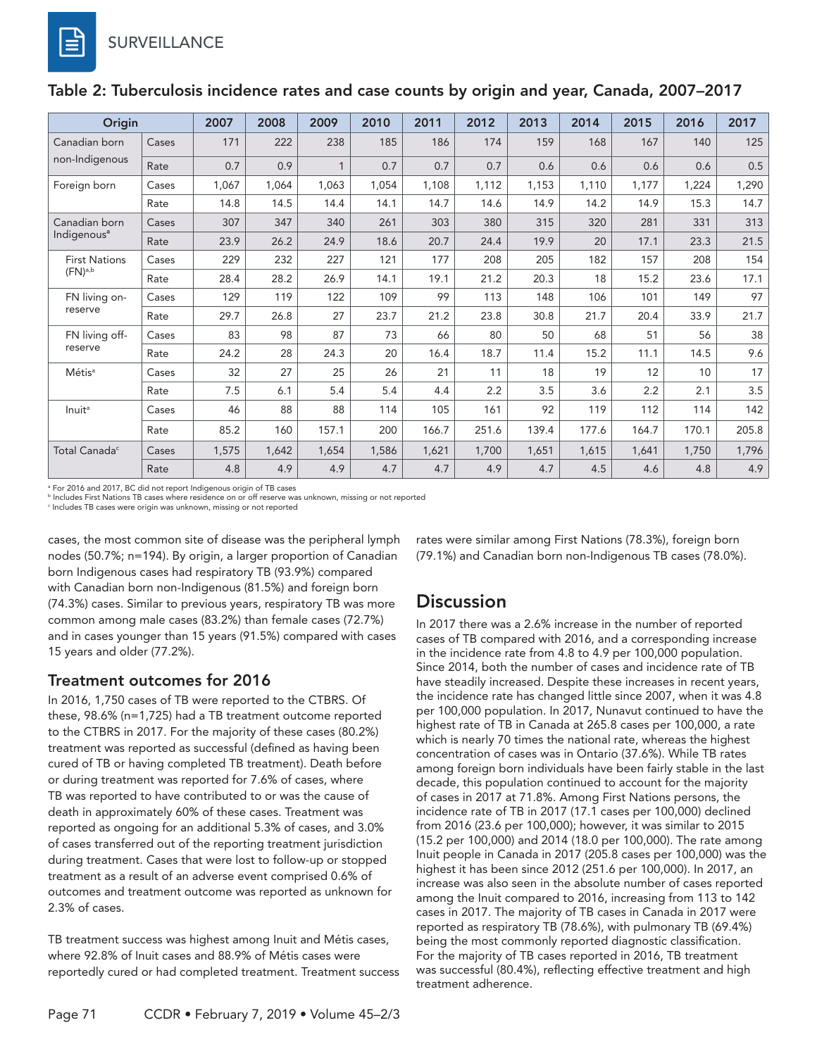| Origin                                   |       | 2007  | 2008  | 2009  | 2010  | 2011  | 2012  | 2013  | 2014  | 2015  | 2016  | 2017  |
|------------------------------------------|-------|-------|-------|-------|-------|-------|-------|-------|-------|-------|-------|-------|
| Canadian born<br>non-Indigenous          | Cases | 171   | 222   | 238   | 185   | 186   | 174   | 159   | 168   | 167   | 140   | 125   |
|                                          | Rate  | 0.7   | 0.9   | 1     | 0.7   | 0.7   | 0.7   | 0.6   | 0.6   | 0.6   | 0.6   | 0.5   |
| Foreign born                             | Cases | 1,067 | 1.064 | 1,063 | 1,054 | 1,108 | 1,112 | 1,153 | 1,110 | 1,177 | 1,224 | 1,290 |
|                                          | Rate  | 14.8  | 14.5  | 14.4  | 14.1  | 14.7  | 14.6  | 14.9  | 14.2  | 14.9  | 15.3  | 14.7  |
| Canadian born<br>Indigenous <sup>a</sup> | Cases | 307   | 347   | 340   | 261   | 303   | 380   | 315   | 320   | 281   | 331   | 313   |
|                                          | Rate  | 23.9  | 26.2  | 24.9  | 18.6  | 20.7  | 24.4  | 19.9  | 20    | 17.1  | 23.3  | 21.5  |
| <b>First Nations</b><br>$(FN)^{a,b}$     | Cases | 229   | 232   | 227   | 121   | 177   | 208   | 205   | 182   | 157   | 208   | 154   |
|                                          | Rate  | 28.4  | 28.2  | 26.9  | 14.1  | 19.1  | 21.2  | 20.3  | 18    | 15.2  | 23.6  | 17.1  |
| FN living on-<br>reserve                 | Cases | 129   | 119   | 122   | 109   | 99    | 113   | 148   | 106   | 101   | 149   | 97    |
|                                          | Rate  | 29.7  | 26.8  | 27    | 23.7  | 21.2  | 23.8  | 30.8  | 21.7  | 20.4  | 33.9  | 21.7  |
| FN living off-<br>reserve                | Cases | 83    | 98    | 87    | 73    | 66    | 80    | 50    | 68    | 51    | 56    | 38    |
|                                          | Rate  | 24.2  | 28    | 24.3  | 20    | 16.4  | 18.7  | 11.4  | 15.2  | 11.1  | 14.5  | 9.6   |
| Métis <sup>a</sup>                       | Cases | 32    | 27    | 25    | 26    | 21    | 11    | 18    | 19    | 12    | 10    | 17    |
|                                          | Rate  | 7.5   | 6.1   | 5.4   | 5.4   | 4.4   | 2.2   | 3.5   | 3.6   | 2.2   | 2.1   | 3.5   |
| <b>Inuit<sup>a</sup></b>                 | Cases | 46    | 88    | 88    | 114   | 105   | 161   | 92    | 119   | 112   | 114   | 142   |
|                                          | Rate  | 85.2  | 160   | 157.1 | 200   | 166.7 | 251.6 | 139.4 | 177.6 | 164.7 | 170.1 | 205.8 |
| Total Canada <sup>c</sup>                | Cases | 1,575 | 1,642 | 1,654 | 1,586 | 1,621 | 1,700 | 1,651 | 1,615 | 1,641 | 1,750 | 1,796 |
|                                          | Rate  | 4.8   | 4.9   | 4.9   | 4.7   | 4.7   | 4.9   | 4.7   | 4.5   | 4.6   | 4.8   | 4.9   |

#### Table 2: Tuberculosis incidence rates and case counts by origin and year, Canada, 2007–2017

a For 2016 and 2017, BC did not report Indigenous origin of TB cases

b Includes First Nations TB cases where residence on or off reserve was unknown, missing or not reported

c Includes TB cases were origin was unknown, missing or not reported

cases, the most common site of disease was the peripheral lymph nodes (50.7%; n=194). By origin, a larger proportion of Canadian born Indigenous cases had respiratory TB (93.9%) compared with Canadian born non-Indigenous (81.5%) and foreign born (74.3%) cases. Similar to previous years, respiratory TB was more common among male cases (83.2%) than female cases (72.7%) and in cases younger than 15 years (91.5%) compared with cases 15 years and older (77.2%).

#### Treatment outcomes for 2016

In 2016, 1,750 cases of TB were reported to the CTBRS. Of these, 98.6% (n=1,725) had a TB treatment outcome reported to the CTBRS in 2017. For the majority of these cases (80.2%) treatment was reported as successful (defined as having been cured of TB or having completed TB treatment). Death before or during treatment was reported for 7.6% of cases, where TB was reported to have contributed to or was the cause of death in approximately 60% of these cases. Treatment was reported as ongoing for an additional 5.3% of cases, and 3.0% of cases transferred out of the reporting treatment jurisdiction during treatment. Cases that were lost to follow-up or stopped treatment as a result of an adverse event comprised 0.6% of outcomes and treatment outcome was reported as unknown for 2.3% of cases.

TB treatment success was highest among Inuit and Métis cases, where 92.8% of Inuit cases and 88.9% of Métis cases were reportedly cured or had completed treatment. Treatment success rates were similar among First Nations (78.3%), foreign born (79.1%) and Canadian born non-Indigenous TB cases (78.0%).

#### **Discussion**

In 2017 there was a 2.6% increase in the number of reported cases of TB compared with 2016, and a corresponding increase in the incidence rate from 4.8 to 4.9 per 100,000 population. Since 2014, both the number of cases and incidence rate of TB have steadily increased. Despite these increases in recent years, the incidence rate has changed little since 2007, when it was 4.8 per 100,000 population. In 2017, Nunavut continued to have the highest rate of TB in Canada at 265.8 cases per 100,000, a rate which is nearly 70 times the national rate, whereas the highest concentration of cases was in Ontario (37.6%). While TB rates among foreign born individuals have been fairly stable in the last decade, this population continued to account for the majority of cases in 2017 at 71.8%. Among First Nations persons, the incidence rate of TB in 2017 (17.1 cases per 100,000) declined from 2016 (23.6 per 100,000); however, it was similar to 2015 (15.2 per 100,000) and 2014 (18.0 per 100,000). The rate among Inuit people in Canada in 2017 (205.8 cases per 100,000) was the highest it has been since 2012 (251.6 per 100,000). In 2017, an increase was also seen in the absolute number of cases reported among the Inuit compared to 2016, increasing from 113 to 142 cases in 2017. The majority of TB cases in Canada in 2017 were reported as respiratory TB (78.6%), with pulmonary TB (69.4%) being the most commonly reported diagnostic classification. For the majority of TB cases reported in 2016, TB treatment was successful (80.4%), reflecting effective treatment and high treatment adherence.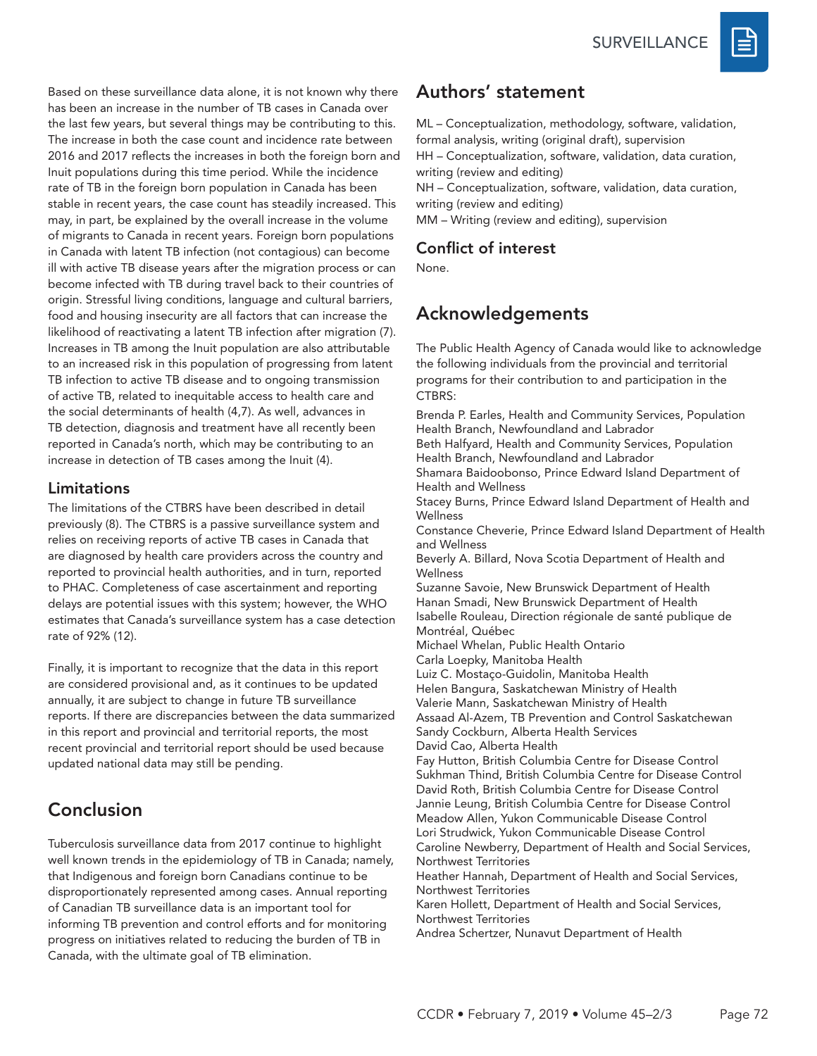**SURVEILLANCE** 



Based on these surveillance data alone, it is not known why there has been an increase in the number of TB cases in Canada over the last few years, but several things may be contributing to this. The increase in both the case count and incidence rate between 2016 and 2017 reflects the increases in both the foreign born and Inuit populations during this time period. While the incidence rate of TB in the foreign born population in Canada has been stable in recent years, the case count has steadily increased. This may, in part, be explained by the overall increase in the volume of migrants to Canada in recent years. Foreign born populations in Canada with latent TB infection (not contagious) can become ill with active TB disease years after the migration process or can become infected with TB during travel back to their countries of origin. Stressful living conditions, language and cultural barriers, food and housing insecurity are all factors that can increase the likelihood of reactivating a latent TB infection after migration (7). Increases in TB among the Inuit population are also attributable to an increased risk in this population of progressing from latent TB infection to active TB disease and to ongoing transmission of active TB, related to inequitable access to health care and the social determinants of health (4,7). As well, advances in TB detection, diagnosis and treatment have all recently been reported in Canada's north, which may be contributing to an increase in detection of TB cases among the Inuit (4).

#### Limitations

The limitations of the CTBRS have been described in detail previously (8). The CTBRS is a passive surveillance system and relies on receiving reports of active TB cases in Canada that are diagnosed by health care providers across the country and reported to provincial health authorities, and in turn, reported to PHAC. Completeness of case ascertainment and reporting delays are potential issues with this system; however, the WHO estimates that Canada's surveillance system has a case detection rate of 92% (12).

Finally, it is important to recognize that the data in this report are considered provisional and, as it continues to be updated annually, it are subject to change in future TB surveillance reports. If there are discrepancies between the data summarized in this report and provincial and territorial reports, the most recent provincial and territorial report should be used because updated national data may still be pending.

# Conclusion

Tuberculosis surveillance data from 2017 continue to highlight well known trends in the epidemiology of TB in Canada; namely, that Indigenous and foreign born Canadians continue to be disproportionately represented among cases. Annual reporting of Canadian TB surveillance data is an important tool for informing TB prevention and control efforts and for monitoring progress on initiatives related to reducing the burden of TB in Canada, with the ultimate goal of TB elimination.

### Authors' statement

ML – Conceptualization, methodology, software, validation, formal analysis, writing (original draft), supervision HH – Conceptualization, software, validation, data curation, writing (review and editing) NH – Conceptualization, software, validation, data curation,

writing (review and editing)

MM – Writing (review and editing), supervision

#### Conflict of interest

None.

# Acknowledgements

The Public Health Agency of Canada would like to acknowledge the following individuals from the provincial and territorial programs for their contribution to and participation in the CTBRS:

Brenda P. Earles, Health and Community Services, Population Health Branch, Newfoundland and Labrador Beth Halfyard, Health and Community Services, Population Health Branch, Newfoundland and Labrador Shamara Baidoobonso, Prince Edward Island Department of Health and Wellness

Stacey Burns, Prince Edward Island Department of Health and **Wellness** 

Constance Cheverie, Prince Edward Island Department of Health and Wellness

Beverly A. Billard, Nova Scotia Department of Health and **Wellness** 

Suzanne Savoie, New Brunswick Department of Health Hanan Smadi, New Brunswick Department of Health Isabelle Rouleau, Direction régionale de santé publique de Montréal, Québec Michael Whelan, Public Health Ontario

Carla Loepky, Manitoba Health

Luiz C. Mostaço-Guidolin, Manitoba Health Helen Bangura, Saskatchewan Ministry of Health Valerie Mann, Saskatchewan Ministry of Health Assaad Al-Azem, TB Prevention and Control Saskatchewan Sandy Cockburn, Alberta Health Services David Cao, Alberta Health Fay Hutton, British Columbia Centre for Disease Control Sukhman Thind, British Columbia Centre for Disease Control David Roth, British Columbia Centre for Disease Control Jannie Leung, British Columbia Centre for Disease Control Meadow Allen, Yukon Communicable Disease Control Lori Strudwick, Yukon Communicable Disease Control Caroline Newberry, Department of Health and Social Services, Northwest Territories Heather Hannah, Department of Health and Social Services, Northwest Territories

Karen Hollett, Department of Health and Social Services, Northwest Territories

Andrea Schertzer, Nunavut Department of Health